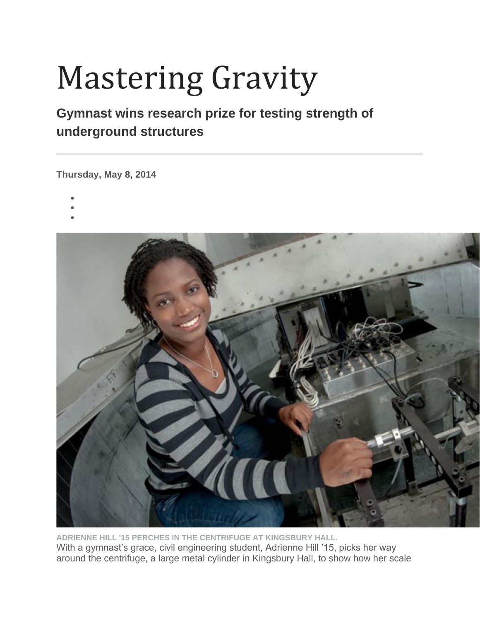## Mastering Gravity

## **Gymnast wins research prize for testing strength of underground structures**

**Thursday, May 8, 2014**

- •
- •
- •



**ADRIENNE HILL '15 PERCHES IN THE CENTRIFUGE AT KINGSBURY HALL.** With a gymnast's grace, civil engineering student, Adrienne Hill '15, picks her way around the centrifuge, a large metal cylinder in Kingsbury Hall, to show how her scale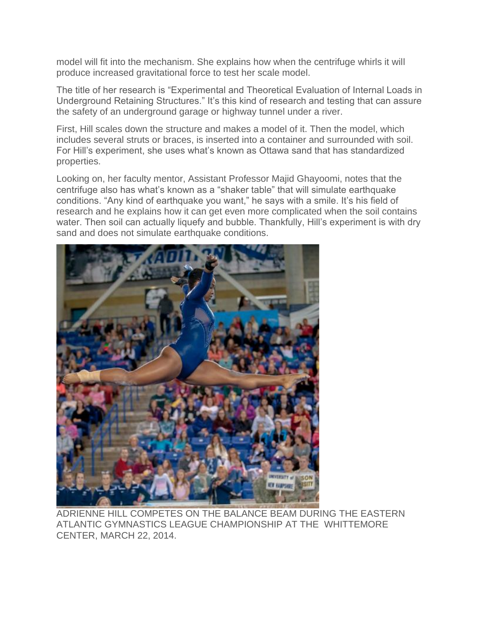model will fit into the mechanism. She explains how when the centrifuge whirls it will produce increased gravitational force to test her scale model.

The title of her research is "Experimental and Theoretical Evaluation of Internal Loads in Underground Retaining Structures." It's this kind of research and testing that can assure the safety of an underground garage or highway tunnel under a river.

First, Hill scales down the structure and makes a model of it. Then the model, which includes several struts or braces, is inserted into a container and surrounded with soil. For Hill's experiment, she uses what's known as Ottawa sand that has standardized properties.

Looking on, her faculty mentor, Assistant Professor Majid Ghayoomi, notes that the centrifuge also has what's known as a "shaker table" that will simulate earthquake conditions. "Any kind of earthquake you want," he says with a smile. It's his field of research and he explains how it can get even more complicated when the soil contains water. Then soil can actually liquefy and bubble. Thankfully, Hill's experiment is with dry sand and does not simulate earthquake conditions.



ADRIENNE HILL COMPETES ON THE BALANCE BEAM DURING THE EASTERN ATLANTIC GYMNASTICS LEAGUE CHAMPIONSHIP AT THE WHITTEMORE CENTER, MARCH 22, 2014.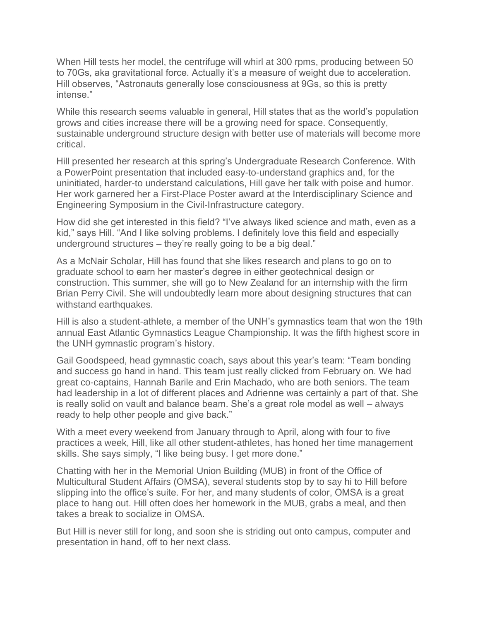When Hill tests her model, the centrifuge will whirl at 300 rpms, producing between 50 to 70Gs, aka gravitational force. Actually it's a measure of weight due to acceleration. Hill observes, "Astronauts generally lose consciousness at 9Gs, so this is pretty intense."

While this research seems valuable in general, Hill states that as the world's population grows and cities increase there will be a growing need for space. Consequently, sustainable underground structure design with better use of materials will become more critical.

Hill presented her research at this spring's Undergraduate Research Conference. With a PowerPoint presentation that included easy-to-understand graphics and, for the uninitiated, harder-to understand calculations, Hill gave her talk with poise and humor. Her work garnered her a First-Place Poster award at the Interdisciplinary Science and Engineering Symposium in the Civil-Infrastructure category.

How did she get interested in this field? "I've always liked science and math, even as a kid," says Hill. "And I like solving problems. I definitely love this field and especially underground structures – they're really going to be a big deal."

As a McNair Scholar, Hill has found that she likes research and plans to go on to graduate school to earn her master's degree in either geotechnical design or construction. This summer, she will go to New Zealand for an internship with the firm Brian Perry Civil. She will undoubtedly learn more about designing structures that can withstand earthquakes.

Hill is also a student-athlete, a member of the UNH's gymnastics team that won the 19th annual East Atlantic Gymnastics League Championship. It was the fifth highest score in the UNH gymnastic program's history.

Gail Goodspeed, head gymnastic coach, says about this year's team: "Team bonding and success go hand in hand. This team just really clicked from February on. We had great co-captains, Hannah Barile and Erin Machado, who are both seniors. The team had leadership in a lot of different places and Adrienne was certainly a part of that. She is really solid on vault and balance beam. She's a great role model as well – always ready to help other people and give back."

With a meet every weekend from January through to April, along with four to five practices a week, Hill, like all other student-athletes, has honed her time management skills. She says simply, "I like being busy. I get more done."

Chatting with her in the Memorial Union Building (MUB) in front of the Office of Multicultural Student Affairs (OMSA), several students stop by to say hi to Hill before slipping into the office's suite. For her, and many students of color, OMSA is a great place to hang out. Hill often does her homework in the MUB, grabs a meal, and then takes a break to socialize in OMSA.

But Hill is never still for long, and soon she is striding out onto campus, computer and presentation in hand, off to her next class.